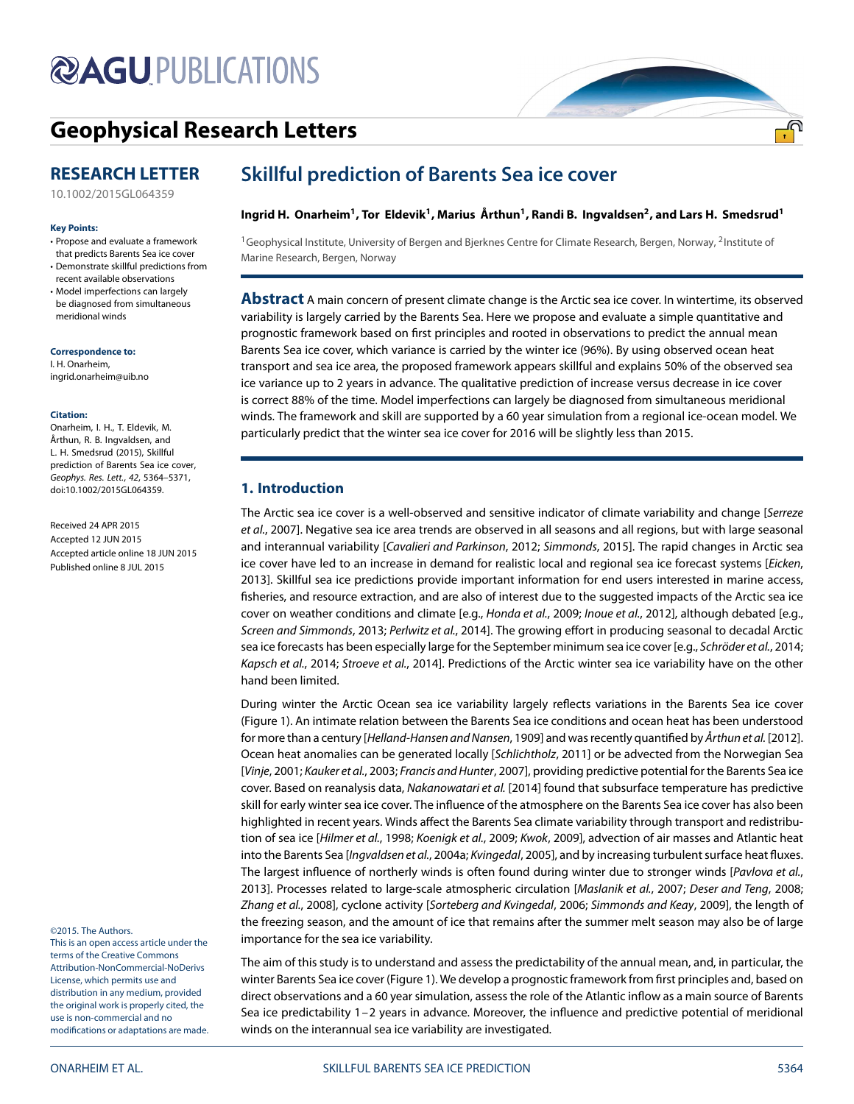# **@AGUPUBLICATIONS**

## **[Geophysical Research Letters](http://onlinelibrary.wiley.com/journal/10.1002/(ISSN)1944-8007)**

### **RESEARCH LETTER**

[10.1002/2015GL064359](http://dx.doi.org/10.1002/2015GL064359)

#### **Key Points:**

- Propose and evaluate a framework that predicts Barents Sea ice cover • Demonstrate skillful predictions from
- recent available observations
- Model imperfections can largely be diagnosed from simultaneous meridional winds

**Correspondence to:**

I. H. Onarheim, ingrid.onarheim@uib.no

#### **Citation:**

Onarheim, I. H., T. Eldevik, M. Årthun, R. B. Ingvaldsen, and L. H. Smedsrud (2015), Skillful prediction of Barents Sea ice cover, Geophys. Res. Lett., 42, 5364–5371, doi:10.1002/2015GL064359.

Received 24 APR 2015 Accepted 12 JUN 2015 Accepted article online 18 JUN 2015 Published online 8 JUL 2015

©2015. The Authors.

This is an open access article under the terms of the [Creative Commons](http://creativecommons.org/licenses/by-nc-nd/4.0/) Attribution-NonCommercial-NoDerivs License, which permits use and distribution in any medium, provided the original work is properly cited, the use is non-commercial and no modifications or adaptations are made.

### **Skillful prediction of Barents Sea ice cover**

#### Ingrid H. Onarheim<sup>1</sup>, Tor Eldevik<sup>1</sup>, Marius Årthun<sup>1</sup>, Randi B. Ingvaldsen<sup>2</sup>, and Lars H. Smedsrud<sup>1</sup>

 $1$ Geophysical Institute, University of Bergen and Bjerknes Centre for Climate Research, Bergen, Norway, 2Institute of Marine Research, Bergen, Norway

**Abstract** A main concern of present climate change is the Arctic sea ice cover. In wintertime, its observed variability is largely carried by the Barents Sea. Here we propose and evaluate a simple quantitative and prognostic framework based on first principles and rooted in observations to predict the annual mean Barents Sea ice cover, which variance is carried by the winter ice (96%). By using observed ocean heat transport and sea ice area, the proposed framework appears skillful and explains 50% of the observed sea ice variance up to 2 years in advance. The qualitative prediction of increase versus decrease in ice cover is correct 88% of the time. Model imperfections can largely be diagnosed from simultaneous meridional winds. The framework and skill are supported by a 60 year simulation from a regional ice-ocean model. We particularly predict that the winter sea ice cover for 2016 will be slightly less than 2015.

#### <span id="page-0-0"></span>**1. Introduction**

The Arctic sea ice cover is a well-observed and sensitive indicator of climate variability and change [Serreze et al., [2007\]](#page-7-0). Negative sea ice area trends are observed in all seasons and all regions, but with large seasonal and interannual variability [Cavalieri and Parkinson, [2012;](#page-6-0) Simmonds, [2015\]](#page-7-1). The rapid changes in Arctic sea ice cover have led to an increase in demand for realistic local and regional sea ice forecast systems [Eicken, [2013\]](#page-6-1). Skillful sea ice predictions provide important information for end users interested in marine access, fisheries, and resource extraction, and are also of interest due to the suggested impacts of the Arctic sea ice cover on weather conditions and climate [e.g., Honda et al., [2009;](#page-6-2) Inoue et al., [2012\]](#page-7-2), although debated [e.g., Screen and Simmonds, [2013;](#page-7-3) Perlwitz et al., [2014\]](#page-7-4). The growing effort in producing seasonal to decadal Arctic sea ice forecasts has been especially large for the September minimum sea ice cover [e.g., Schröder et al., [2014;](#page-7-5) Kapsch et al., [2014;](#page-7-6) Stroeve et al., [2014\]](#page-7-7). Predictions of the Arctic winter sea ice variability have on the other hand been limited.

During winter the Arctic Ocean sea ice variability largely reflects variations in the Barents Sea ice cover (Figure [1\)](#page-1-0). An intimate relation between the Barents Sea ice conditions and ocean heat has been understood for more than a century [Helland-Hansen and Nansen, [1909\]](#page-6-3) and was recently quantified by Arthun et al. [\[2012\]](#page-6-4). Ocean heat anomalies can be generated locally [Schlichtholz, [2011\]](#page-7-8) or be advected from the Norwegian Sea [Vinje, [2001;](#page-7-9) Kauker et al., [2003;](#page-7-10) Francis and Hunter, [2007\]](#page-6-5), providing predictive potential for the Barents Sea ice cover. Based on reanalysis data, Nakanowatari et al. [\[2014\]](#page-7-11) found that subsurface temperature has predictive skill for early winter sea ice cover. The influence of the atmosphere on the Barents Sea ice cover has also been highlighted in recent years. Winds affect the Barents Sea climate variability through transport and redistribution of sea ice [Hilmer et al., [1998;](#page-6-6) Koenigk et al., [2009;](#page-7-12) Kwok, [2009\]](#page-7-13), advection of air masses and Atlantic heat into the Barents Sea [Ingvaldsen et al., [2004a;](#page-6-7) Kvingedal, [2005\]](#page-7-14), and by increasing turbulent surface heat fluxes. The largest influence of northerly winds is often found during winter due to stronger winds [Pavlova et al., [2013\]](#page-7-15). Processes related to large-scale atmospheric circulation [Maslanik et al., [2007;](#page-7-16) Deser and Teng, [2008;](#page-6-8) Zhang et al., [2008\]](#page-7-17), cyclone activity [Sorteberg and Kvingedal, [2006;](#page-7-18) Simmonds and Keay, [2009\]](#page-7-19), the length of the freezing season, and the amount of ice that remains after the summer melt season may also be of large importance for the sea ice variability.

The aim of this study is to understand and assess the predictability of the annual mean, and, in particular, the winter Barents Sea ice cover (Figure [1\)](#page-1-0). We develop a prognostic framework from first principles and, based on direct observations and a 60 year simulation, assess the role of the Atlantic inflow as a main source of Barents Sea ice predictability 1–2 years in advance. Moreover, the influence and predictive potential of meridional winds on the interannual sea ice variability are investigated.

<u>.എ</u>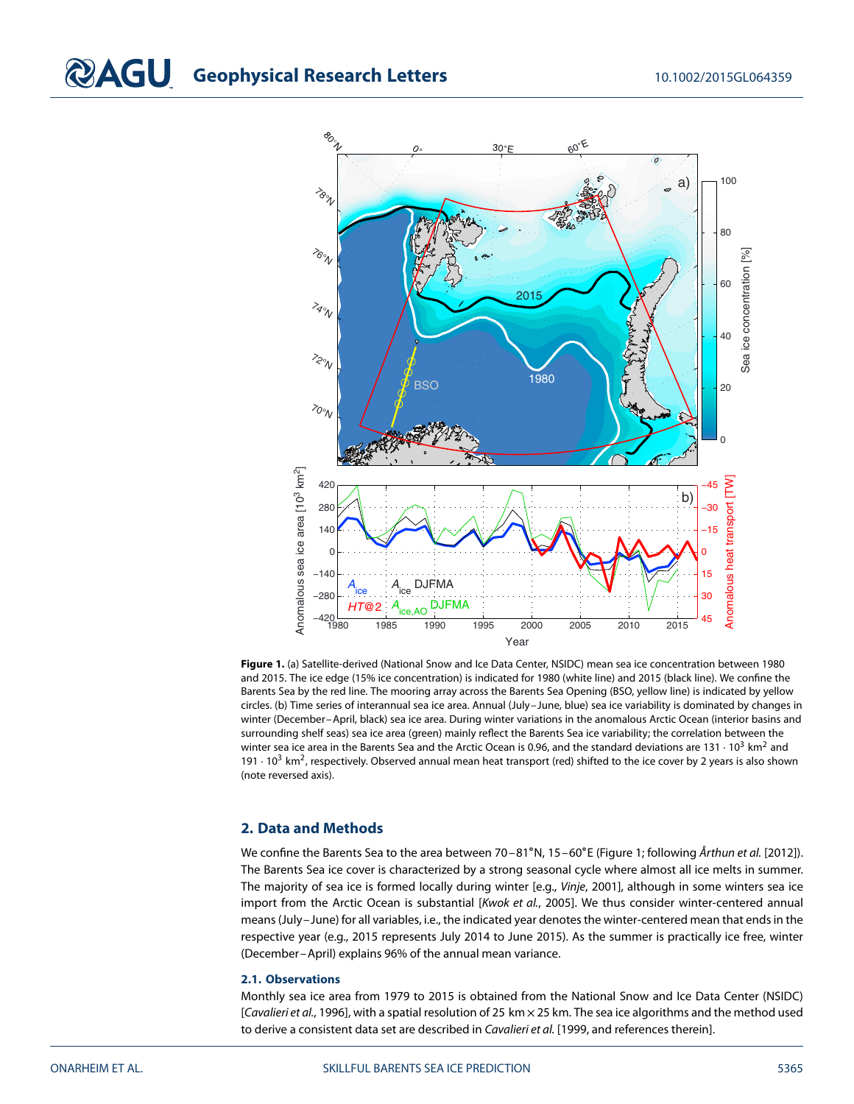## **COAGU** Geophysical Research Letters 10.1002/2015GL064359



<span id="page-1-0"></span>**Figure 1.** (a) Satellite-derived (National Snow and Ice Data Center, NSIDC) mean sea ice concentration between 1980 and 2015. The ice edge (15% ice concentration) is indicated for 1980 (white line) and 2015 (black line). We confine the Barents Sea by the red line. The mooring array across the Barents Sea Opening (BSO, yellow line) is indicated by yellow circles. (b) Time series of interannual sea ice area. Annual (July–June, blue) sea ice variability is dominated by changes in winter (December–April, black) sea ice area. During winter variations in the anomalous Arctic Ocean (interior basins and surrounding shelf seas) sea ice area (green) mainly reflect the Barents Sea ice variability; the correlation between the winter sea ice area in the Barents Sea and the Arctic Ocean is 0.96, and the standard deviations are 131  $\cdot$  10<sup>3</sup> km<sup>2</sup> and 191  $\cdot$  10<sup>3</sup> km<sup>2</sup>, respectively. Observed annual mean heat transport (red) shifted to the ice cover by 2 years is also shown (note reversed axis).

#### **2. Data and Methods**

We confine the Barents Sea to the area between 70–81°N, 15–60°E (Figure [1;](#page-1-0) following Årthun et al. [\[2012\]](#page-6-4)). The Barents Sea ice cover is characterized by a strong seasonal cycle where almost all ice melts in summer. The majority of sea ice is formed locally during winter [e.g., Vinje, [2001\]](#page-7-9), although in some winters sea ice import from the Arctic Ocean is substantial [Kwok et al., [2005\]](#page-7-20). We thus consider winter-centered annual means (July–June) for all variables, i.e., the indicated year denotes the winter-centered mean that ends in the respective year (e.g., 2015 represents July 2014 to June 2015). As the summer is practically ice free, winter (December–April) explains 96% of the annual mean variance.

#### **2.1. Observations**

Monthly sea ice area from 1979 to 2015 is obtained from the National Snow and Ice Data Center (NSIDC) [Cavalieri et al., [1996\]](#page-6-9), with a spatial resolution of 25 km × 25 km. The sea ice algorithms and the method used to derive a consistent data set are described in Cavalieri et al. [\[1999,](#page-6-10) and references therein].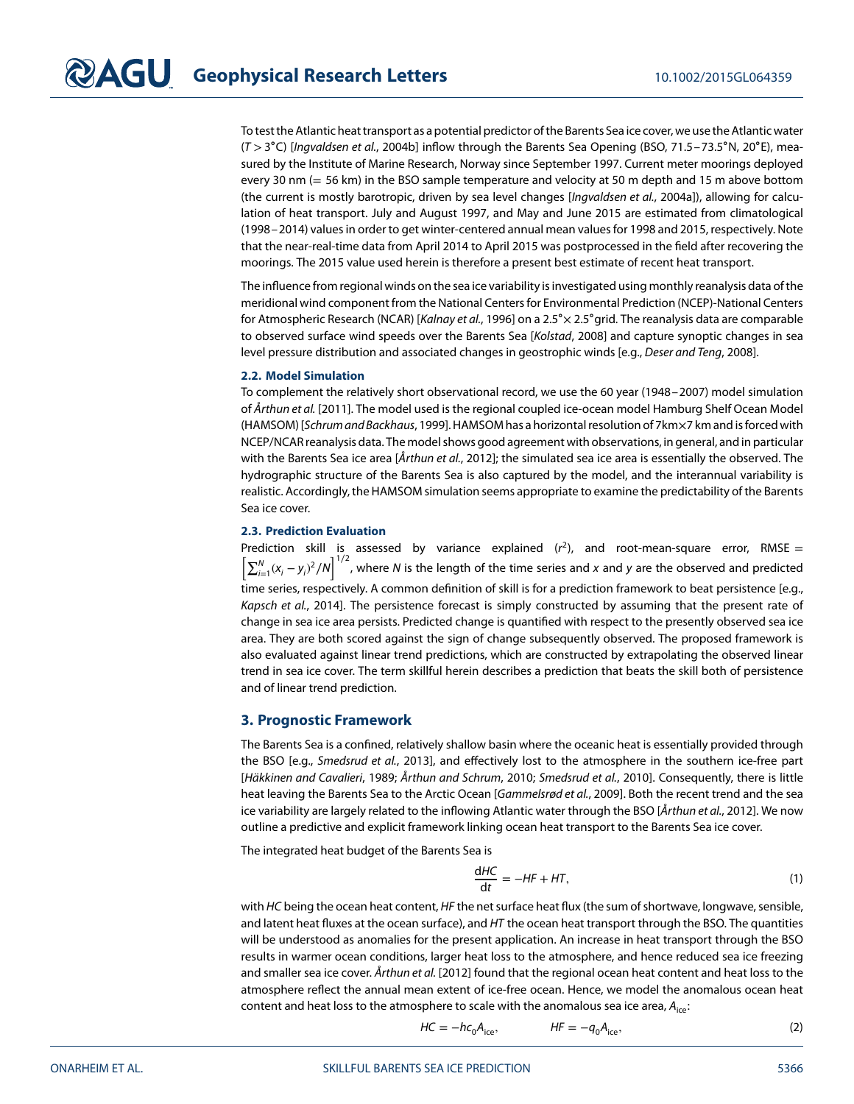To test the Atlantic heat transport as a potential predictor of the Barents Sea ice cover, we use the Atlantic water (T *>*3∘C) [Ingvaldsen et al., [2004b\]](#page-6-11) inflow through the Barents Sea Opening (BSO, 71.5–73.5∘N, 20∘E), measured by the Institute of Marine Research, Norway since September 1997. Current meter moorings deployed every 30 nm (= 56 km) in the BSO sample temperature and velocity at 50 m depth and 15 m above bottom (the current is mostly barotropic, driven by sea level changes [Ingvaldsen et al., [2004a\]](#page-6-7)), allowing for calculation of heat transport. July and August 1997, and May and June 2015 are estimated from climatological (1998–2014) values in order to get winter-centered annual mean values for 1998 and 2015, respectively. Note that the near-real-time data from April 2014 to April 2015 was postprocessed in the field after recovering the moorings. The 2015 value used herein is therefore a present best estimate of recent heat transport.

The influence from regional winds on the sea ice variability is investigated using monthly reanalysis data of the meridional wind component from the National Centers for Environmental Prediction (NCEP)-National Centers for Atmospheric Research (NCAR) [Kalnay et al., [1996\]](#page-7-21) on a 2.5∘× 2.5∘grid. The reanalysis data are comparable to observed surface wind speeds over the Barents Sea [Kolstad, [2008\]](#page-7-22) and capture synoptic changes in sea level pressure distribution and associated changes in geostrophic winds [e.g., Deser and Teng, [2008\]](#page-6-8).

#### **2.2. Model Simulation**

To complement the relatively short observational record, we use the 60 year (1948–2007) model simulation of Årthun et al. [\[2011\]](#page-6-12). The model used is the regional coupled ice-ocean model Hamburg Shelf Ocean Model (HAMSOM) [Schrum and Backhaus, [1999\]](#page-7-23). HAMSOM has a horizontal resolution of 7km×7 km and isforced with NCEP/NCAR reanalysis data. The model shows good agreement with observations, in general, and in particular with the Barents Sea ice area [ $År$ thun et al., [2012\]](#page-6-4); the simulated sea ice area is essentially the observed. The hydrographic structure of the Barents Sea is also captured by the model, and the interannual variability is realistic. Accordingly, the HAMSOM simulation seems appropriate to examine the predictability of the Barents Sea ice cover.

#### **2.3. Prediction Evaluation**

Prediction skill is assessed by variance explained  $(r^2)$ , and root-mean-square error, RMSE =  $\left[\sum_{i=1}^{N}(x_i-y_i)^2/N\right]^{1/2}$ , where N is the length of the time series and x and y are the observed and predicted time series, respectively. A common definition of skill is for a prediction framework to beat persistence [e.g., Kapsch et al., [2014\]](#page-7-6). The persistence forecast is simply constructed by assuming that the present rate of change in sea ice area persists. Predicted change is quantified with respect to the presently observed sea ice area. They are both scored against the sign of change subsequently observed. The proposed framework is also evaluated against linear trend predictions, which are constructed by extrapolating the observed linear trend in sea ice cover. The term skillful herein describes a prediction that beats the skill both of persistence and of linear trend prediction.

#### **3. Prognostic Framework**

The Barents Sea is a confined, relatively shallow basin where the oceanic heat is essentially provided through the BSO [e.g., Smedsrud et al., [2013\]](#page-7-24), and effectively lost to the atmosphere in the southern ice-free part [Häkkinen and Cavalieri, [1989;](#page-6-13) Årthun and Schrum, [2010;](#page-6-14) Smedsrud et al., [2010\]](#page-7-25). Consequently, there is little heat leaving the Barents Sea to the Arctic Ocean [Gammelsrød et al., [2009\]](#page-6-15). Both the recent trend and the sea ice variability are largely related to the inflowing Atlantic water through the BSO [Årthun et al., [2012\]](#page-6-4). We now outline a predictive and explicit framework linking ocean heat transport to the Barents Sea ice cover.

The integrated heat budget of the Barents Sea is

<span id="page-2-1"></span>
$$
\frac{dHC}{dt} = -HF + HT,\t(1)
$$

with HC being the ocean heat content, HF the net surface heat flux (the sum of shortwave, longwave, sensible, and latent heat fluxes at the ocean surface), and HT the ocean heat transport through the BSO. The quantities will be understood as anomalies for the present application. An increase in heat transport through the BSO results in warmer ocean conditions, larger heat loss to the atmosphere, and hence reduced sea ice freezing and smaller sea ice cover. Årthun et al. [\[2012\]](#page-6-4) found that the regional ocean heat content and heat loss to the atmosphere reflect the annual mean extent of ice-free ocean. Hence, we model the anomalous ocean heat content and heat loss to the atmosphere to scale with the anomalous sea ice area,  $A_{ice}$ :

<span id="page-2-0"></span>
$$
HC = -hc_0A_{ice}, \qquad HF = -q_0A_{ice}, \qquad (2)
$$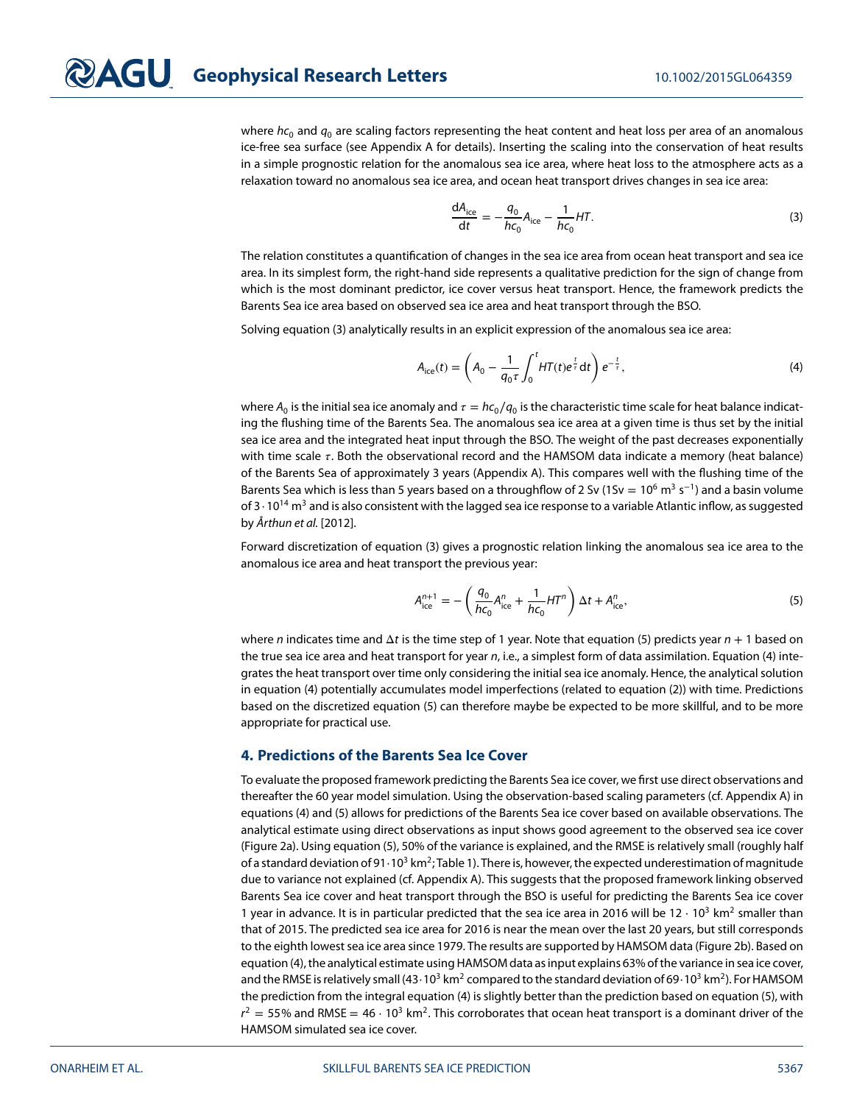where  $hc_0$  and  $q_0$  are scaling factors representing the heat content and heat loss per area of an anomalous ice-free sea surface (see Appendix A for details). Inserting the scaling into the conservation of heat results in a simple prognostic relation for the anomalous sea ice area, where heat loss to the atmosphere acts as a relaxation toward no anomalous sea ice area, and ocean heat transport drives changes in sea ice area:

<span id="page-3-0"></span>
$$
\frac{dA_{ice}}{dt} = -\frac{q_0}{hc_0}A_{ice} - \frac{1}{hc_0}HT.
$$
\n(3)

The relation constitutes a quantification of changes in the sea ice area from ocean heat transport and sea ice area. In its simplest form, the right-hand side represents a qualitative prediction for the sign of change from which is the most dominant predictor, ice cover versus heat transport. Hence, the framework predicts the Barents Sea ice area based on observed sea ice area and heat transport through the BSO.

Solving equation [\(3\)](#page-3-0) analytically results in an explicit expression of the anomalous sea ice area:

<span id="page-3-2"></span>
$$
A_{\rm ice}(t) = \left(A_0 - \frac{1}{q_0 \tau} \int_0^t H T(t) e^{\frac{t}{\tau}} dt\right) e^{-\frac{t}{\tau}},
$$
\n(4)

where  $A_0$  is the initial sea ice anomaly and  $\tau = hc_0/q_0$  is the characteristic time scale for heat balance indicating the flushing time of the Barents Sea. The anomalous sea ice area at a given time is thus set by the initial sea ice area and the integrated heat input through the BSO. The weight of the past decreases exponentially with time scale  $\tau$ . Both the observational record and the HAMSOM data indicate a memory (heat balance) of the Barents Sea of approximately 3 years (Appendix A). This compares well with the flushing time of the Barents Sea which is less than 5 years based on a throughflow of 2 Sv (1Sv =  $10^6$  m<sup>3</sup> s<sup>−1</sup>) and a basin volume of 3 ⋅ 10<sup>14</sup> m<sup>3</sup> and is also consistent with the lagged sea ice response to a variable Atlantic inflow, as suggested by Årthun et al. [\[2012\]](#page-6-4).

Forward discretization of equation [\(3\)](#page-3-0) gives a prognostic relation linking the anomalous sea ice area to the anomalous ice area and heat transport the previous year:

<span id="page-3-1"></span>
$$
A_{\text{ice}}^{n+1} = -\left(\frac{q_0}{hc_0}A_{\text{ice}}^n + \frac{1}{hc_0}H\tau^n\right)\Delta t + A_{\text{ice}}^n,\tag{5}
$$

where n indicates time and  $\Delta t$  is the time step of 1 year. Note that equation [\(5\)](#page-3-1) predicts year  $n + 1$  based on the true sea ice area and heat transport for year n, i.e., a simplest form of data assimilation. Equation [\(4\)](#page-3-2) integrates the heat transport over time only considering the initial sea ice anomaly. Hence, the analytical solution in equation [\(4\)](#page-3-2) potentially accumulates model imperfections (related to equation [\(2\)](#page-2-0)) with time. Predictions based on the discretized equation [\(5\)](#page-3-1) can therefore maybe be expected to be more skillful, and to be more appropriate for practical use.

#### **4. Predictions of the Barents Sea Ice Cover**

To evaluate the proposed framework predicting the Barents Sea ice cover, we first use direct observations and thereafter the 60 year model simulation. Using the observation-based scaling parameters (cf. Appendix A) in equations [\(4\)](#page-3-2) and [\(5\)](#page-3-1) allows for predictions of the Barents Sea ice cover based on available observations. The analytical estimate using direct observations as input shows good agreement to the observed sea ice cover (Figure [2a](#page-4-0)). Using equation [\(5\)](#page-3-1), 50% of the variance is explained, and the RMSE is relatively small (roughly half of a standard deviation of 91⋅10<sup>3</sup> km<sup>2</sup>; Table [1\)](#page-4-1). There is, however, the expected underestimation of magnitude due to variance not explained (cf. Appendix A). This suggests that the proposed framework linking observed Barents Sea ice cover and heat transport through the BSO is useful for predicting the Barents Sea ice cover 1 year in advance. It is in particular predicted that the sea ice area in 2016 will be 12 ⋅ 10<sup>3</sup> km<sup>2</sup> smaller than that of 2015. The predicted sea ice area for 2016 is near the mean over the last 20 years, but still corresponds to the eighth lowest sea ice area since 1979. The results are supported by HAMSOM data (Figure [2b](#page-4-0)). Based on equation [\(4\)](#page-3-2), the analytical estimate using HAMSOM data as input explains 63% of the variance in sea ice cover, and the RMSE is relatively small (43⋅10<sup>3</sup> km<sup>2</sup> compared to the standard deviation of 69⋅10<sup>3</sup> km<sup>2</sup>). For HAMSOM the prediction from the integral equation [\(4\)](#page-3-2) is slightly better than the prediction based on equation [\(5\)](#page-3-1), with  $r^2 = 55\%$  and RMSE = 46  $\cdot$  10<sup>3</sup> km<sup>2</sup>. This corroborates that ocean heat transport is a dominant driver of the HAMSOM simulated sea ice cover.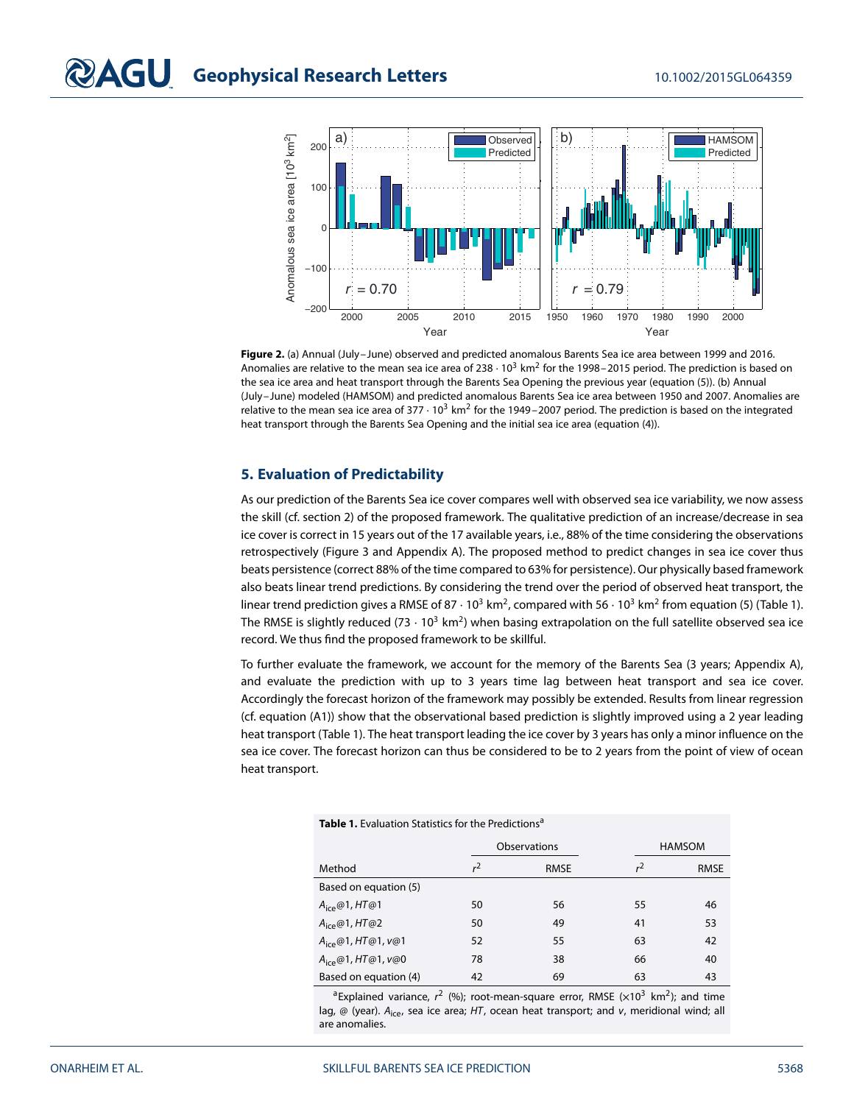

<span id="page-4-0"></span>**Figure 2.** (a) Annual (July–June) observed and predicted anomalous Barents Sea ice area between 1999 and 2016. Anomalies are relative to the mean sea ice area of 238  $\cdot$  10<sup>3</sup> km<sup>2</sup> for the 1998–2015 period. The prediction is based on the sea ice area and heat transport through the Barents Sea Opening the previous year (equation [\(5\)](#page-3-1)). (b) Annual (July–June) modeled (HAMSOM) and predicted anomalous Barents Sea ice area between 1950 and 2007. Anomalies are relative to the mean sea ice area of  $377 \cdot 10^3$  km<sup>2</sup> for the 1949–2007 period. The prediction is based on the integrated heat transport through the Barents Sea Opening and the initial sea ice area (equation [\(4\)](#page-3-2)).

#### **5. Evaluation of Predictability**

As our prediction of the Barents Sea ice cover compares well with observed sea ice variability, we now assess the skill (cf. section 2) of the proposed framework. The qualitative prediction of an increase/decrease in sea ice cover is correct in 15 years out of the 17 available years, i.e., 88% of the time considering the observations retrospectively (Figure [3](#page-5-0) and Appendix A). The proposed method to predict changes in sea ice cover thus beats persistence (correct 88% of the time compared to 63% for persistence). Our physically based framework also beats linear trend predictions. By considering the trend over the period of observed heat transport, the linear trend prediction gives a RMSE of 87  $\cdot$  10<sup>3</sup> km<sup>2</sup>, compared with 56  $\cdot$  10<sup>3</sup> km<sup>2</sup> from equation [\(5\)](#page-3-1) (Table [1\)](#page-4-1). The RMSE is slightly reduced (73  $\cdot$  10<sup>3</sup> km<sup>2</sup>) when basing extrapolation on the full satellite observed sea ice record. We thus find the proposed framework to be skillful.

To further evaluate the framework, we account for the memory of the Barents Sea (3 years; Appendix A), and evaluate the prediction with up to 3 years time lag between heat transport and sea ice cover. Accordingly the forecast horizon of the framework may possibly be extended. Results from linear regression (cf. equation [\(A1\)](#page-6-16)) show that the observational based prediction is slightly improved using a 2 year leading heat transport (Table [1\)](#page-4-1). The heat transport leading the ice cover by 3 years has only a minor influence on the sea ice cover. The forecast horizon can thus be considered to be to 2 years from the point of view of ocean heat transport.

<span id="page-4-1"></span>

| <b>Table 1.</b> Evaluation Statistics for the Predictions <sup>a</sup> |                |             |               |             |
|------------------------------------------------------------------------|----------------|-------------|---------------|-------------|
|                                                                        | Observations   |             | <b>HAMSOM</b> |             |
| Method                                                                 | r <sup>2</sup> | <b>RMSE</b> | $r^2$         | <b>RMSE</b> |
| Based on equation (5)                                                  |                |             |               |             |
| $A_{\text{ice}}@1, HT@1$                                               | 50             | 56          | 55            | 46          |
| $A_{\text{ice}}@1, HT@2$                                               | 50             | 49          | 41            | 53          |
| $A_{ice}@1, HT@1, V@1$                                                 | 52             | 55          | 63            | 42          |
| $A_{ice} @ 1, HT @ 1, V @ 0$                                           | 78             | 38          | 66            | 40          |
| Based on equation (4)                                                  | 42             | 69          | 63            | 43          |

<sup>a</sup>Explained variance,  $r^2$  (%); root-mean-square error, RMSE ( $\times 10^3$  km<sup>2</sup>); and time lag, @ (year).  $A_{ice}$ , sea ice area; HT, ocean heat transport; and v, meridional wind; all are anomalies.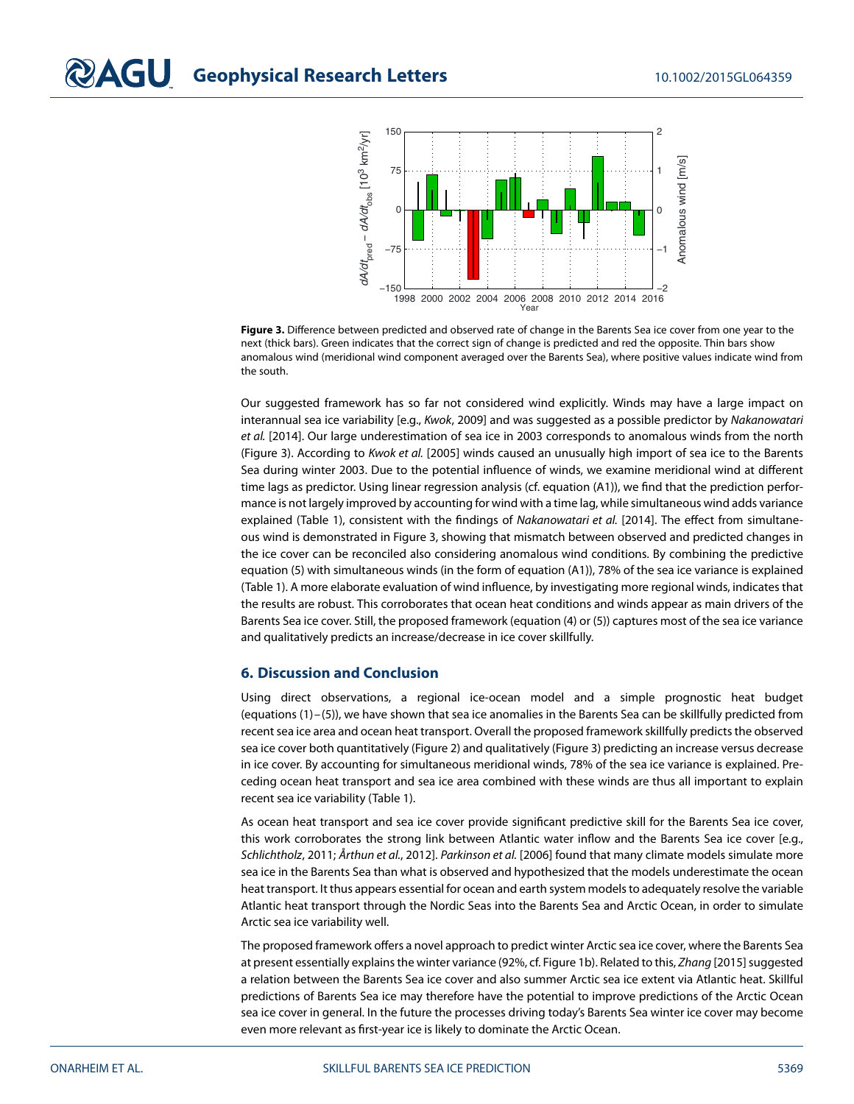

<span id="page-5-0"></span>**Figure 3.** Difference between predicted and observed rate of change in the Barents Sea ice cover from one year to the next (thick bars). Green indicates that the correct sign of change is predicted and red the opposite. Thin bars show anomalous wind (meridional wind component averaged over the Barents Sea), where positive values indicate wind from the south.

Our suggested framework has so far not considered wind explicitly. Winds may have a large impact on interannual sea ice variability [e.g., Kwok, [2009\]](#page-7-13) and was suggested as a possible predictor by Nakanowatari et al. [\[2014\]](#page-7-11). Our large underestimation of sea ice in 2003 corresponds to anomalous winds from the north (Figure [3\)](#page-5-0). According to Kwok et al. [\[2005\]](#page-7-20) winds caused an unusually high import of sea ice to the Barents Sea during winter 2003. Due to the potential influence of winds, we examine meridional wind at different time lags as predictor. Using linear regression analysis (cf. equation [\(A1\)](#page-6-16)), we find that the prediction performance is not largely improved by accounting for wind with a time lag, while simultaneous wind adds variance explained (Table [1\)](#page-4-1), consistent with the findings of Nakanowatari et al. [\[2014\]](#page-7-11). The effect from simultaneous wind is demonstrated in Figure [3,](#page-5-0) showing that mismatch between observed and predicted changes in the ice cover can be reconciled also considering anomalous wind conditions. By combining the predictive equation [\(5\)](#page-3-1) with simultaneous winds (in the form of equation [\(A1\)](#page-6-16)), 78% of the sea ice variance is explained (Table [1\)](#page-4-1). A more elaborate evaluation of wind influence, by investigating more regional winds, indicates that the results are robust. This corroborates that ocean heat conditions and winds appear as main drivers of the Barents Sea ice cover. Still, the proposed framework (equation [\(4\)](#page-3-2) or [\(5\)](#page-3-1)) captures most of the sea ice variance and qualitatively predicts an increase/decrease in ice cover skillfully.

#### **6. Discussion and Conclusion**

Using direct observations, a regional ice-ocean model and a simple prognostic heat budget (equations [\(1\)](#page-2-1)–[\(5\)](#page-3-1)), we have shown that sea ice anomalies in the Barents Sea can be skillfully predicted from recent sea ice area and ocean heat transport. Overall the proposed framework skillfully predicts the observed sea ice cover both quantitatively (Figure [2\)](#page-4-0) and qualitatively (Figure [3\)](#page-5-0) predicting an increase versus decrease in ice cover. By accounting for simultaneous meridional winds, 78% of the sea ice variance is explained. Preceding ocean heat transport and sea ice area combined with these winds are thus all important to explain recent sea ice variability (Table [1\)](#page-4-1).

As ocean heat transport and sea ice cover provide significant predictive skill for the Barents Sea ice cover, this work corroborates the strong link between Atlantic water inflow and the Barents Sea ice cover [e.g., Schlichtholz, [2011;](#page-7-8) Årthun et al., [2012\]](#page-6-4). Parkinson et al. [\[2006\]](#page-7-26) found that many climate models simulate more sea ice in the Barents Sea than what is observed and hypothesized that the models underestimate the ocean heat transport. It thus appears essential for ocean and earth system models to adequately resolve the variable Atlantic heat transport through the Nordic Seas into the Barents Sea and Arctic Ocean, in order to simulate Arctic sea ice variability well.

The proposed framework offers a novel approach to predict winter Arctic sea ice cover, where the Barents Sea at present essentially explains the winter variance (92%, cf. Figure [1b](#page-1-0)). Related to this, Zhang [\[2015\]](#page-7-27) suggested a relation between the Barents Sea ice cover and also summer Arctic sea ice extent via Atlantic heat. Skillful predictions of Barents Sea ice may therefore have the potential to improve predictions of the Arctic Ocean sea ice cover in general. In the future the processes driving today's Barents Sea winter ice cover may become even more relevant as first-year ice is likely to dominate the Arctic Ocean.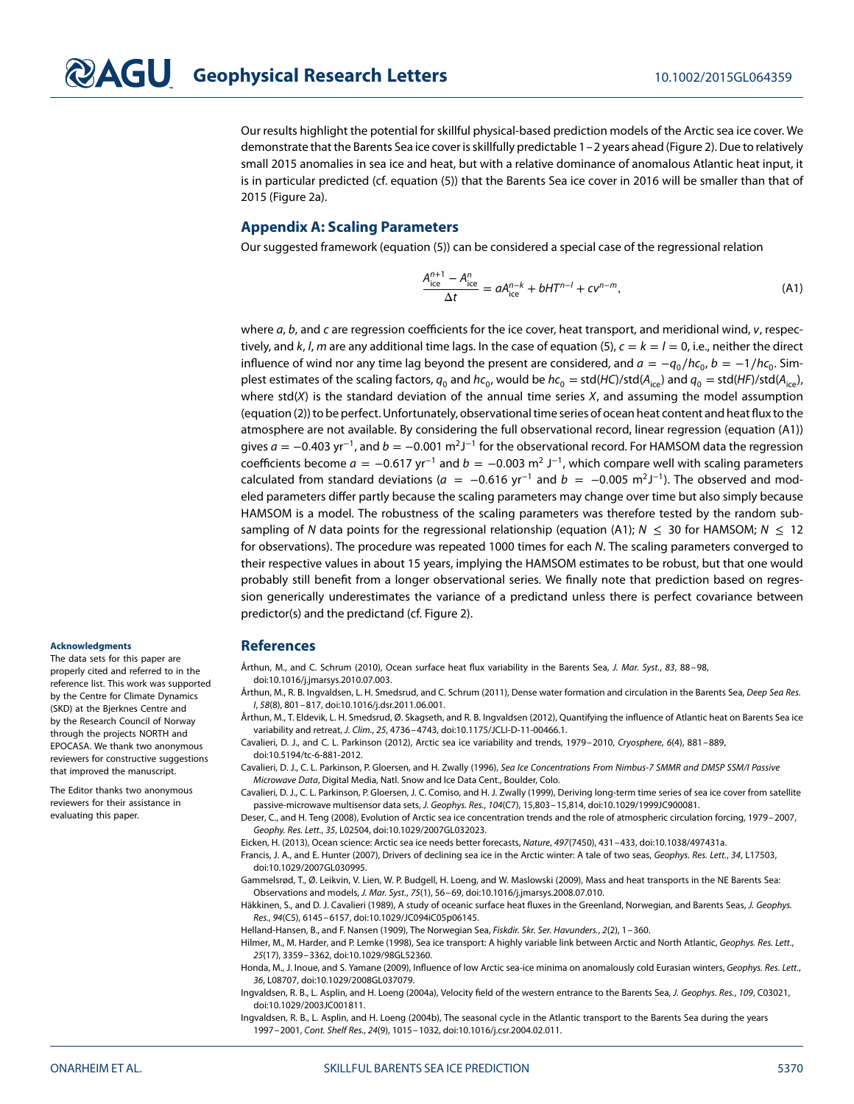Our results highlight the potential for skillful physical-based prediction models of the Arctic sea ice cover. We demonstrate that the Barents Sea ice cover is skillfully predictable 1–2 years ahead (Figure [2\)](#page-4-0). Due to relatively small 2015 anomalies in sea ice and heat, but with a relative dominance of anomalous Atlantic heat input, it is in particular predicted (cf. equation [\(5\)](#page-3-1)) that the Barents Sea ice cover in 2016 will be smaller than that of 2015 (Figure [2a](#page-4-0)).

#### **[A](#page-0-0)ppendix [A:](#page-0-0) Scaling Parameters**

Our suggested framework (equation [\(5\)](#page-3-1)) can be considered a special case of the regressional relation

<span id="page-6-16"></span>
$$
\frac{A_{\text{ice}}^{n+1} - A_{\text{ice}}^n}{\Delta t} = aA_{\text{ice}}^{n-k} + bHT^{n-l} + cv^{n-m},\tag{A1}
$$

where  $a$ ,  $b$ , and  $c$  are regression coefficients for the ice cover, heat transport, and meridional wind,  $v$ , respec-tively, and k, l, m are any additional time lags. In the case of equation [\(5\)](#page-3-1),  $c = k = l = 0$ , i.e., neither the direct influence of wind nor any time lag beyond the present are considered, and  $a = -q_0/hc_0$ ,  $b = -1/hc_0$ . Simplest estimates of the scaling factors,  $q_0$  and  $hc_0$ , would be  $hc_0 = std/HC) / std(A<sub>ice</sub>)$  and  $q_0 = std/HC) / std(A<sub>ice</sub>)$ , where std( $X$ ) is the standard deviation of the annual time series  $X$ , and assuming the model assumption (equation [\(2\)](#page-2-0)) to be perfect. Unfortunately, observational time series of ocean heat content and heat flux to the atmosphere are not available. By considering the full observational record, linear regression (equation [\(A1\)](#page-6-16)) gives a = −0*.*403 yr<sup>−</sup>1, and b = −0*.*001 m2J−<sup>1</sup> for the observational record. For HAMSOM data the regression coefficients become  $a = -0.617$  yr<sup>-1</sup> and  $b = -0.003$  m<sup>2</sup> J<sup>-1</sup>, which compare well with scaling parameters calculated from standard deviations ( $a = -0.616$  yr<sup>-1</sup> and  $b = -0.005$  m<sup>2</sup>J<sup>-1</sup>). The observed and modeled parameters differ partly because the scaling parameters may change over time but also simply because HAMSOM is a model. The robustness of the scaling parameters was therefore tested by the random sub-sampling of N data points for the regressional relationship (equation [\(A1\)](#page-6-16); N  $\leq$  30 for HAMSOM; N  $\leq$  12 for observations). The procedure was repeated 1000 times for each N. The scaling parameters converged to their respective values in about 15 years, implying the HAMSOM estimates to be robust, but that one would probably still benefit from a longer observational series. We finally note that prediction based on regression generically underestimates the variance of a predictand unless there is perfect covariance between predictor(s) and the predictand (cf. Figure [2\)](#page-4-0).

#### <span id="page-6-14"></span>**References**

Årthun, M., and C. Schrum (2010), Ocean surface heat flux variability in the Barents Sea, J. Mar. Syst., 83, 88–98. doi[:10.1016/j.jmarsys.2010.07.003.](http://dx.doi.org/10.1016/j.jmarsys.2010.07.003)

<span id="page-6-12"></span>Årthun, M., R. B. Ingvaldsen, L. H. Smedsrud, and C. Schrum (2011), Dense water formation and circulation in the Barents Sea, Deep Sea Res. I, 58(8), 801–817, doi[:10.1016/j.dsr.2011.06.001.](http://dx.doi.org/10.1016/j.dsr.2011.06.001)

<span id="page-6-4"></span>Årthun, M., T. Eldevik, L. H. Smedsrud, Ø. Skagseth, and R. B. Ingvaldsen (2012), Quantifying the influence of Atlantic heat on Barents Sea ice variability and retreat, J. Clim., 25, 4736–4743, doi[:10.1175/JCLI-D-11-00466.1.](http://dx.doi.org/10.1175/JCLI-D-11-00466.1)

<span id="page-6-0"></span>Cavalieri, D. J., and C. L. Parkinson (2012), Arctic sea ice variability and trends, 1979–2010, Cryosphere, 6(4), 881–889, doi[:10.5194/tc-6-881-2012.](http://dx.doi.org/10.5194/tc-6-881-2012)

<span id="page-6-9"></span>Cavalieri, D. J., C. L. Parkinson, P. Gloersen, and H. Zwally (1996), Sea Ice Concentrations From Nimbus-7 SMMR and DMSP SSM/I Passive Microwave Data, Digital Media, Natl. Snow and Ice Data Cent., Boulder, Colo.

<span id="page-6-10"></span>Cavalieri, D. J., C. L. Parkinson, P. Gloersen, J. C. Comiso, and H. J. Zwally (1999), Deriving long-term time series of sea ice cover from satellite passive-microwave multisensor data sets, J. Geophys. Res., 104(C7), 15,803–15,814, doi[:10.1029/1999JC900081.](http://dx.doi.org/10.1029/1999JC900081)

<span id="page-6-8"></span>Deser, C., and H. Teng (2008), Evolution of Arctic sea ice concentration trends and the role of atmospheric circulation forcing, 1979–2007, Geophy. Res. Lett., 35, L02504, doi[:10.1029/2007GL032023.](http://dx.doi.org/10.1029/2007GL032023)

<span id="page-6-5"></span><span id="page-6-1"></span>Eicken, H. (2013), Ocean science: Arctic sea ice needs better forecasts, Nature, 497(7450), 431–433, doi[:10.1038/497431a.](http://dx.doi.org/10.1038/497431a)

Francis, J. A., and E. Hunter (2007), Drivers of declining sea ice in the Arctic winter: A tale of two seas, Geophys. Res. Lett., 34, L17503, doi[:10.1029/2007GL030995.](http://dx.doi.org/10.1029/2007GL030995)

<span id="page-6-15"></span>Gammelsrød, T., Ø. Leikvin, V. Lien, W. P. Budgell, H. Loeng, and W. Maslowski (2009), Mass and heat transports in the NE Barents Sea: Observations and models, J. Mar. Syst., 75(1), 56–69, doi[:10.1016/j.jmarsys.2008.07.010.](http://dx.doi.org/10.1016/j.jmarsys.2008.07.010)

<span id="page-6-13"></span>Häkkinen, S., and D. J. Cavalieri (1989), A study of oceanic surface heat fluxes in the Greenland, Norwegian, and Barents Seas, J. Geophys. Res., 94(C5), 6145–6157, doi[:10.1029/JC094iC05p06145.](http://dx.doi.org/10.1029/JC094iC05p06145)

<span id="page-6-6"></span><span id="page-6-3"></span>Helland-Hansen, B., and F. Nansen (1909), The Norwegian Sea, Fiskdir. Skr. Ser. Havunders., 2(2), 1-360.

Hilmer, M., M. Harder, and P. Lemke (1998), Sea ice transport: A highly variable link between Arctic and North Atlantic, Geophys. Res. Lett., 25(17), 3359–3362, doi[:10.1029/98GL52360.](http://dx.doi.org/10.1029/98GL52360)

<span id="page-6-2"></span>Honda, M., J. Inoue, and S. Yamane (2009), Influence of low Arctic sea-ice minima on anomalously cold Eurasian winters, Geophys. Res. Lett., 36, L08707, doi[:10.1029/2008GL037079.](http://dx.doi.org/10.1029/2008GL037079)

<span id="page-6-7"></span>Ingvaldsen, R. B., L. Asplin, and H. Loeng (2004a), Velocity field of the western entrance to the Barents Sea, J. Geophys. Res., 109, C03021, doi[:10.1029/2003JC001811.](http://dx.doi.org/10.1029/2003JC001811)

<span id="page-6-11"></span>Ingvaldsen, R. B., L. Asplin, and H. Loeng (2004b), The seasonal cycle in the Atlantic transport to the Barents Sea during the years 1997–2001, Cont. Shelf Res., 24(9), 1015–1032, doi[:10.1016/j.csr.2004.02.011.](http://dx.doi.org/10.1016/j.csr.2004.02.011)

#### **Acknowledgments**

The data sets for this paper are properly cited and referred to in the reference list. This work was supported by the Centre for Climate Dynamics (SKD) at the Bjerknes Centre and by the Research Council of Norway through the projects NORTH and EPOCASA. We thank two anonymous reviewers for constructive suggestions that improved the manuscript.

The Editor thanks two anonymous reviewers for their assistance in evaluating this paper.